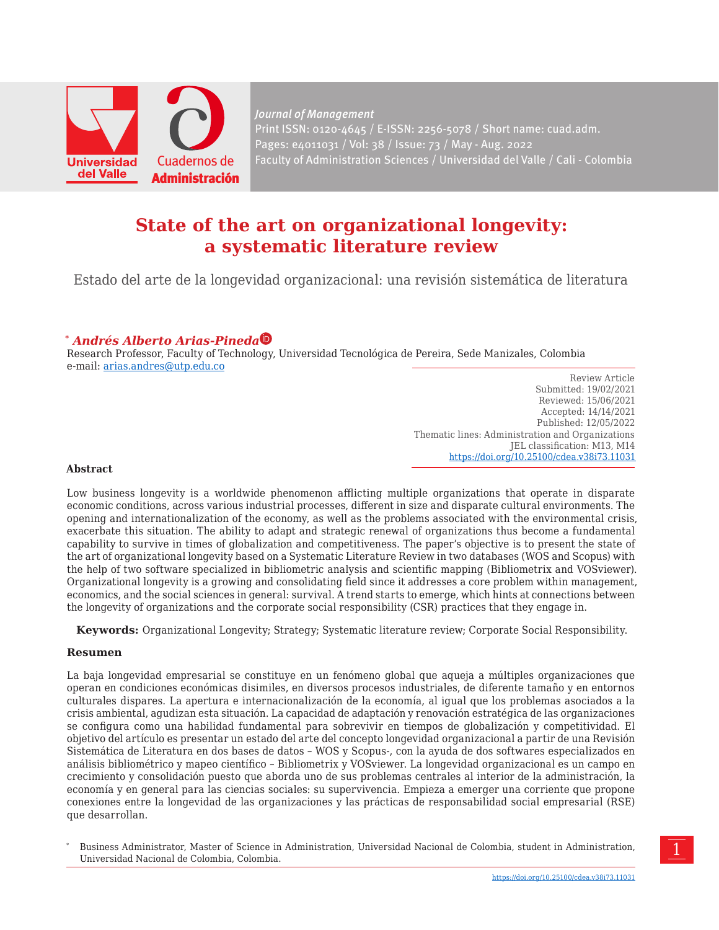

*Journal of Management* Print ISSN: 0120-4645 / E-ISSN: 2256-5078 / Short name: cuad.adm. Pages: e4011031 / Vol: 38 / Issue: 73 / May - Aug. 2022 Faculty of Administration Sciences / Universidad del Valle / Cali - Colombia

# **State of the art on organizational longevity: a systematic literature review**

Estado del arte de la longevidad organizacional: una revisión sistemática de literatura

#### *\* Andrés Alberto Arias-Pined[a](https://orcid.org/0000-0002-8634-9726)*

Research Professor, Faculty of Technology, Universidad Tecnológica de Pereira, Sede Manizales, Colombia e-mail: arias.andres@utp.edu.co

Review Article Submitted: 19/02/2021 Reviewed: 15/06/2021 Accepted: 14/14/2021 Published: 12/05/2022 Thematic lines: Administration and Organizations JEL classification: M13, M14 <https://doi.org/10.25100/cdea.v38i73.11031>

#### **Abstract**

Low business longevity is a worldwide phenomenon afflicting multiple organizations that operate in disparate economic conditions, across various industrial processes, different in size and disparate cultural environments. The opening and internationalization of the economy, as well as the problems associated with the environmental crisis, exacerbate this situation. The ability to adapt and strategic renewal of organizations thus become a fundamental capability to survive in times of globalization and competitiveness. The paper's objective is to present the state of the art of organizational longevity based on a Systematic Literature Review in two databases (WOS and Scopus) with the help of two software specialized in bibliometric analysis and scientific mapping (Bibliometrix and VOSviewer). Organizational longevity is a growing and consolidating field since it addresses a core problem within management, economics, and the social sciences in general: survival. A trend starts to emerge, which hints at connections between the longevity of organizations and the corporate social responsibility (CSR) practices that they engage in.

**Keywords:** Organizational Longevity; Strategy; Systematic literature review; Corporate Social Responsibility.

#### **Resumen**

La baja longevidad empresarial se constituye en un fenómeno global que aqueja a múltiples organizaciones que operan en condiciones económicas disimiles, en diversos procesos industriales, de diferente tamaño y en entornos culturales dispares. La apertura e internacionalización de la economía, al igual que los problemas asociados a la crisis ambiental, agudizan esta situación. La capacidad de adaptación y renovación estratégica de las organizaciones se configura como una habilidad fundamental para sobrevivir en tiempos de globalización y competitividad. El objetivo del artículo es presentar un estado del arte del concepto longevidad organizacional a partir de una Revisión Sistemática de Literatura en dos bases de datos – WOS y Scopus-, con la ayuda de dos softwares especializados en análisis bibliométrico y mapeo científico – Bibliometrix y VOSviewer. La longevidad organizacional es un campo en crecimiento y consolidación puesto que aborda uno de sus problemas centrales al interior de la administración, la economía y en general para las ciencias sociales: su supervivencia. Empieza a emerger una corriente que propone conexiones entre la longevidad de las organizaciones y las prácticas de responsabilidad social empresarial (RSE) que desarrollan.

\* Business Administrator, Master of Science in Administration, Universidad Nacional de Colombia, student in Administration, Universidad Nacional de Colombia, Colombia.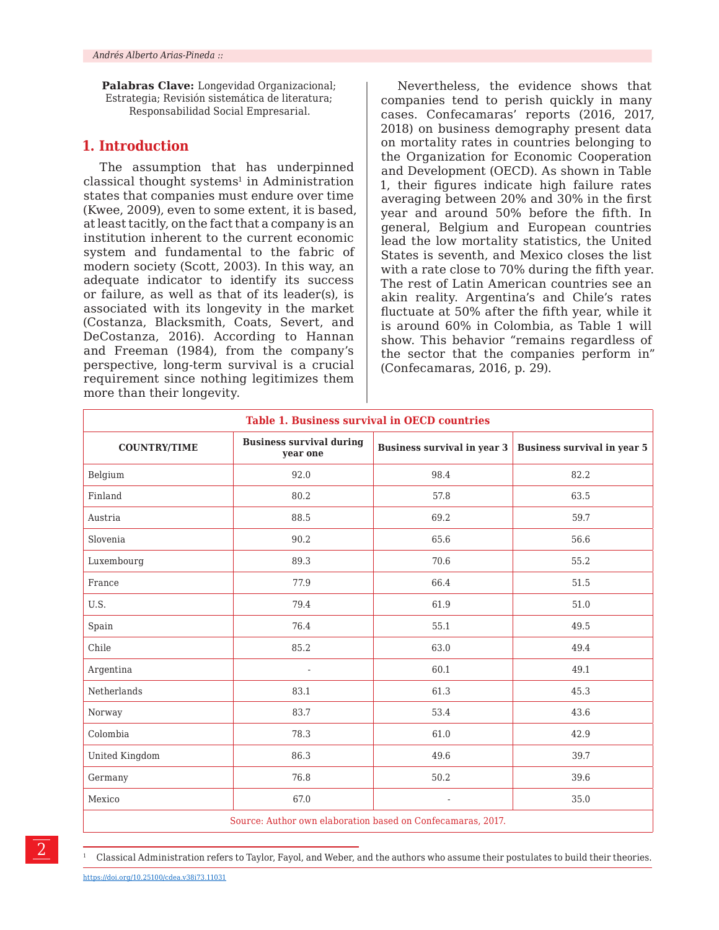Palabras Clave: Longevidad Organizacional; Estrategia; Revisión sistemática de literatura; Responsabilidad Social Empresarial.

#### **1. Introduction**

The assumption that has underpinned  $classical thought systems<sup>1</sup> in Administration$ states that companies must endure over time (Kwee, 2009), even to some extent, it is based, at least tacitly, on the fact that a company is an institution inherent to the current economic system and fundamental to the fabric of modern society (Scott, 2003). In this way, an adequate indicator to identify its success or failure, as well as that of its leader(s), is associated with its longevity in the market (Costanza, Blacksmith, Coats, Severt, and DeCostanza, 2016). According to Hannan and Freeman (1984), from the company's perspective, long-term survival is a crucial requirement since nothing legitimizes them more than their longevity.

Nevertheless, the evidence shows that companies tend to perish quickly in many cases. Confecamaras' reports (2016, 2017, 2018) on business demography present data on mortality rates in countries belonging to the Organization for Economic Cooperation and Development (OECD). As shown in Table 1, their figures indicate high failure rates averaging between 20% and 30% in the first year and around 50% before the fifth. In general, Belgium and European countries lead the low mortality statistics, the United States is seventh, and Mexico closes the list with a rate close to 70% during the fifth year. The rest of Latin American countries see an akin reality. Argentina's and Chile's rates fluctuate at 50% after the fifth year, while it is around 60% in Colombia, as Table 1 will show. This behavior "remains regardless of the sector that the companies perform in" (Confecamaras, 2016, p. 29).

| <b>Table 1. Business survival in OECD countries</b>         |                                             |                                    |                                    |
|-------------------------------------------------------------|---------------------------------------------|------------------------------------|------------------------------------|
| <b>COUNTRY/TIME</b>                                         | <b>Business survival during</b><br>year one | <b>Business survival in year 3</b> | <b>Business survival in year 5</b> |
| Belgium                                                     | 92.0                                        | 98.4                               | 82.2                               |
| Finland                                                     | 80.2                                        | 57.8                               | 63.5                               |
| Austria                                                     | 88.5                                        | 69.2                               | 59.7                               |
| Slovenia                                                    | 90.2                                        | 65.6                               | 56.6                               |
| Luxembourg                                                  | 89.3                                        | 70.6                               | 55.2                               |
| France                                                      | 77.9                                        | 66.4                               | 51.5                               |
| U.S.                                                        | 79.4                                        | 61.9                               | 51.0                               |
| Spain                                                       | 76.4                                        | 55.1                               | 49.5                               |
| Chile                                                       | 85.2                                        | 63.0                               | 49.4                               |
| Argentina                                                   | ÷,                                          | 60.1                               | 49.1                               |
| Netherlands                                                 | 83.1                                        | 61.3                               | 45.3                               |
| Norway                                                      | 83.7                                        | 53.4                               | 43.6                               |
| Colombia                                                    | 78.3                                        | 61.0                               | 42.9                               |
| United Kingdom                                              | 86.3                                        | 49.6                               | 39.7                               |
| Germany                                                     | 76.8                                        | 50.2                               | 39.6                               |
| Mexico                                                      | 67.0                                        | ä,                                 | 35.0                               |
| Source: Author own elaboration based on Confecamaras, 2017. |                                             |                                    |                                    |

<sup>1</sup> Classical Administration refers to Taylor, Fayol, and Weber, and the authors who assume their postulates to build their theories.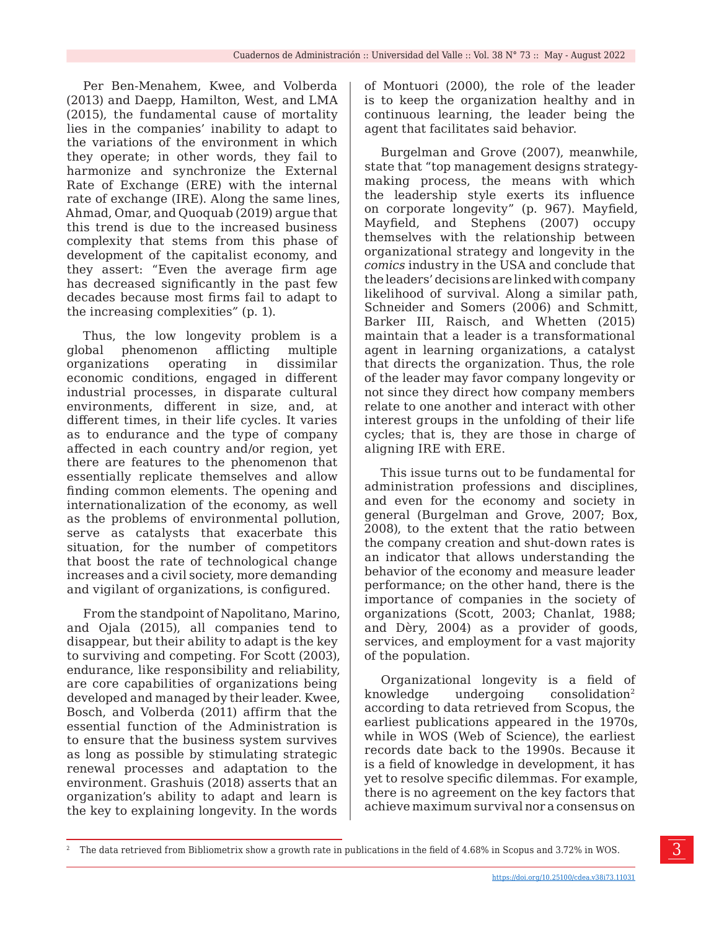Per Ben-Menahem, Kwee, and Volberda (2013) and Daepp, Hamilton, West, and LMA (2015), the fundamental cause of mortality lies in the companies' inability to adapt to the variations of the environment in which they operate; in other words, they fail to harmonize and synchronize the External Rate of Exchange (ERE) with the internal rate of exchange (IRE). Along the same lines, Ahmad, Omar, and Quoquab (2019) argue that this trend is due to the increased business complexity that stems from this phase of development of the capitalist economy, and they assert: "Even the average firm age has decreased significantly in the past few decades because most firms fail to adapt to the increasing complexities*"* (p. 1).

Thus, the low longevity problem is a global phenomenon afflicting multiple organizations operating in dissimilar economic conditions, engaged in different industrial processes, in disparate cultural environments, different in size, and, at different times, in their life cycles. It varies as to endurance and the type of company affected in each country and/or region, yet there are features to the phenomenon that essentially replicate themselves and allow finding common elements. The opening and internationalization of the economy, as well as the problems of environmental pollution, serve as catalysts that exacerbate this situation, for the number of competitors that boost the rate of technological change increases and a civil society, more demanding and vigilant of organizations, is configured.

From the standpoint of Napolitano, Marino, and Ojala (2015), all companies tend to disappear, but their ability to adapt is the key to surviving and competing. For Scott (2003), endurance, like responsibility and reliability, are core capabilities of organizations being developed and managed by their leader. Kwee, Bosch, and Volberda (2011) affirm that the essential function of the Administration is to ensure that the business system survives as long as possible by stimulating strategic renewal processes and adaptation to the environment. Grashuis (2018) asserts that an organization's ability to adapt and learn is the key to explaining longevity. In the words

of Montuori (2000), the role of the leader is to keep the organization healthy and in continuous learning, the leader being the agent that facilitates said behavior.

Burgelman and Grove (2007), meanwhile, state that "top management designs strategymaking process, the means with which the leadership style exerts its influence on corporate longevity" (p. 967). Mayfield, Mayfield, and Stephens (2007) occupy themselves with the relationship between organizational strategy and longevity in the *comics* industry in the USA and conclude that the leaders' decisions are linked with company likelihood of survival. Along a similar path, Schneider and Somers (2006) and Schmitt, Barker III, Raisch, and Whetten (2015) maintain that a leader is a transformational agent in learning organizations, a catalyst that directs the organization. Thus, the role of the leader may favor company longevity or not since they direct how company members relate to one another and interact with other interest groups in the unfolding of their life cycles; that is, they are those in charge of aligning IRE with ERE.

This issue turns out to be fundamental for administration professions and disciplines, and even for the economy and society in general (Burgelman and Grove, 2007; Box, 2008), to the extent that the ratio between the company creation and shut-down rates is an indicator that allows understanding the behavior of the economy and measure leader performance; on the other hand, there is the importance of companies in the society of organizations (Scott, 2003; Chanlat, 1988; and Dèry, 2004) as a provider of goods, services, and employment for a vast majority of the population.

Organizational longevity is a field of knowledge undergoing consolidation<sup>2</sup> according to data retrieved from Scopus, the earliest publications appeared in the 1970s, while in WOS (Web of Science), the earliest records date back to the 1990s. Because it is a field of knowledge in development, it has yet to resolve specific dilemmas. For example, there is no agreement on the key factors that achieve maximum survival nor a consensus on

<sup>2</sup> The data retrieved from Bibliometrix show a growth rate in publications in the field of 4.68% in Scopus and 3.72% in WOS.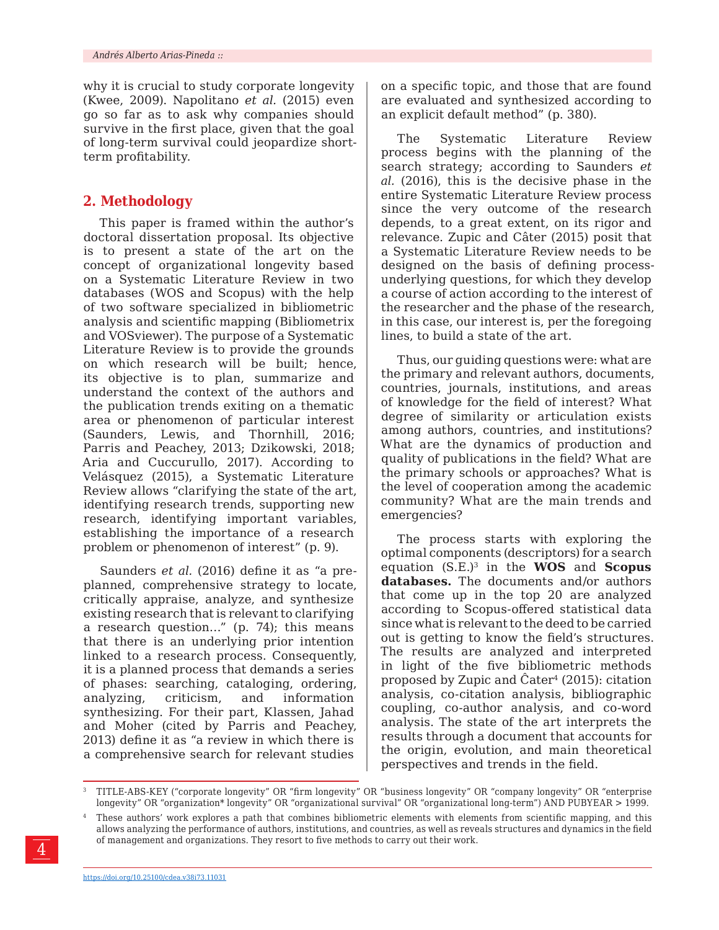why it is crucial to study corporate longevity (Kwee, 2009). Napolitano *et al.* (2015) even go so far as to ask why companies should survive in the first place, given that the goal of long-term survival could jeopardize shortterm profitability.

#### **2. Methodology**

This paper is framed within the author's doctoral dissertation proposal. Its objective is to present a state of the art on the concept of organizational longevity based on a Systematic Literature Review in two databases (WOS and Scopus) with the help of two software specialized in bibliometric analysis and scientific mapping (Bibliometrix and VOSviewer). The purpose of a Systematic Literature Review is to provide the grounds on which research will be built; hence, its objective is to plan, summarize and understand the context of the authors and the publication trends exiting on a thematic area or phenomenon of particular interest (Saunders, Lewis, and Thornhill, 2016; Parris and Peachey, 2013; Dzikowski, 2018; Aria and Cuccurullo, 2017). According to Velásquez (2015), a Systematic Literature Review allows "clarifying the state of the art, identifying research trends, supporting new research, identifying important variables, establishing the importance of a research problem or phenomenon of interest" (p. 9).

Saunders *et al.* (2016) define it as "a preplanned, comprehensive strategy to locate, critically appraise, analyze, and synthesize existing research that is relevant to clarifying a research question…" (p. 74); this means that there is an underlying prior intention linked to a research process. Consequently, it is a planned process that demands a series of phases: searching, cataloging, ordering, analyzing, criticism, and information synthesizing. For their part, Klassen, Jahad and Moher (cited by Parris and Peachey, 2013) define it as "a review in which there is a comprehensive search for relevant studies

on a specific topic, and those that are found are evaluated and synthesized according to an explicit default method" (p. 380).

The Systematic Literature Review process begins with the planning of the search strategy; according to Saunders *et al.* (2016), this is the decisive phase in the entire Systematic Literature Review process since the very outcome of the research depends, to a great extent, on its rigor and relevance. Zupic and Câter (2015) posit that a Systematic Literature Review needs to be designed on the basis of defining processunderlying questions, for which they develop a course of action according to the interest of the researcher and the phase of the research, in this case, our interest is, per the foregoing lines, to build a state of the art.

Thus, our guiding questions were: what are the primary and relevant authors, documents, countries, journals, institutions, and areas of knowledge for the field of interest? What degree of similarity or articulation exists among authors, countries, and institutions? What are the dynamics of production and quality of publications in the field? What are the primary schools or approaches? What is the level of cooperation among the academic community? What are the main trends and emergencies?

The process starts with exploring the optimal components (descriptors) for a search equation (S.E.)3 in the **WOS** and **Scopus databases.** The documents and/or authors that come up in the top 20 are analyzed according to Scopus-offered statistical data since what is relevant to the deed to be carried out is getting to know the field's structures. The results are analyzed and interpreted in light of the five bibliometric methods proposed by Zupic and Ĉater4 (2015): citation analysis, co-citation analysis, bibliographic coupling, co-author analysis, and co-word analysis. The state of the art interprets the results through a document that accounts for the origin, evolution, and main theoretical perspectives and trends in the field.

<sup>3</sup> TITLE-ABS-KEY ("corporate longevity" OR "firm longevity" OR "business longevity" OR "company longevity" OR "enterprise longevity" OR "organization\* longevity" OR "organizational survival" OR "organizational long-term") AND PUBYEAR > 1999.

These authors' work explores a path that combines bibliometric elements with elements from scientific mapping, and this allows analyzing the performance of authors, institutions, and countries, as well as reveals structures and dynamics in the field of management and organizations. They resort to five methods to carry out their work.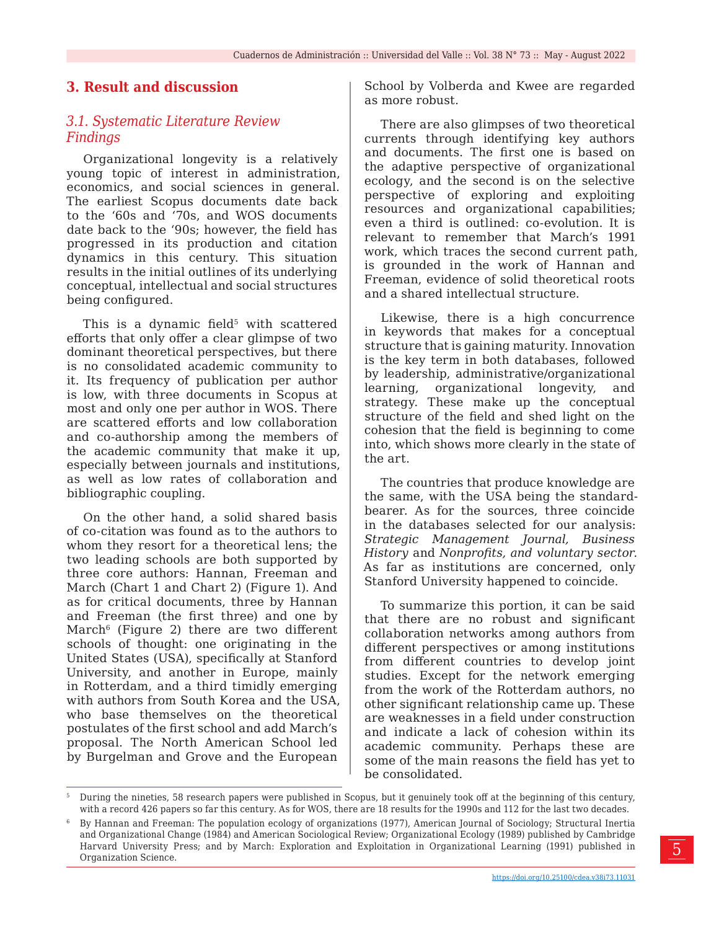#### **3. Result and discussion**

### *3.1. Systematic Literature Review Findings*

Organizational longevity is a relatively young topic of interest in administration, economics, and social sciences in general. The earliest Scopus documents date back to the '60s and '70s, and WOS documents date back to the '90s; however, the field has progressed in its production and citation dynamics in this century. This situation results in the initial outlines of its underlying conceptual, intellectual and social structures being configured.

This is a dynamic field $5$  with scattered efforts that only offer a clear glimpse of two dominant theoretical perspectives, but there is no consolidated academic community to it. Its frequency of publication per author is low, with three documents in Scopus at most and only one per author in WOS. There are scattered efforts and low collaboration and co-authorship among the members of the academic community that make it up, especially between journals and institutions, as well as low rates of collaboration and bibliographic coupling.

On the other hand, a solid shared basis of co-citation was found as to the authors to whom they resort for a theoretical lens; the two leading schools are both supported by three core authors: Hannan, Freeman and March (Chart 1 and Chart 2) (Figure 1). And as for critical documents, three by Hannan and Freeman (the first three) and one by March<sup> $6$ </sup> (Figure 2) there are two different schools of thought: one originating in the United States (USA), specifically at Stanford University, and another in Europe, mainly in Rotterdam, and a third timidly emerging with authors from South Korea and the USA, who base themselves on the theoretical postulates of the first school and add March's proposal. The North American School led by Burgelman and Grove and the European

School by Volberda and Kwee are regarded as more robust.

There are also glimpses of two theoretical currents through identifying key authors and documents. The first one is based on the adaptive perspective of organizational ecology, and the second is on the selective perspective of exploring and exploiting resources and organizational capabilities; even a third is outlined: co-evolution. It is relevant to remember that March's 1991 work, which traces the second current path, is grounded in the work of Hannan and Freeman, evidence of solid theoretical roots and a shared intellectual structure.

Likewise, there is a high concurrence in keywords that makes for a conceptual structure that is gaining maturity. Innovation is the key term in both databases, followed by leadership, administrative/organizational learning, organizational longevity, and strategy. These make up the conceptual structure of the field and shed light on the cohesion that the field is beginning to come into, which shows more clearly in the state of the art.

The countries that produce knowledge are the same, with the USA being the standardbearer. As for the sources, three coincide in the databases selected for our analysis: *Strategic Management Journal, Business History* and *Nonprofits, and voluntary sector.* As far as institutions are concerned, only Stanford University happened to coincide.

To summarize this portion, it can be said that there are no robust and significant collaboration networks among authors from different perspectives or among institutions from different countries to develop joint studies. Except for the network emerging from the work of the Rotterdam authors, no other significant relationship came up. These are weaknesses in a field under construction and indicate a lack of cohesion within its academic community. Perhaps these are some of the main reasons the field has yet to be consolidated.

<sup>5</sup> During the nineties, 58 research papers were published in Scopus, but it genuinely took off at the beginning of this century, with a record 426 papers so far this century. As for WOS, there are 18 results for the 1990s and 112 for the last two decades.

<sup>6</sup> By Hannan and Freeman: The population ecology of organizations (1977), American Journal of Sociology; Structural Inertia and Organizational Change (1984) and American Sociological Review; Organizational Ecology (1989) published by Cambridge Harvard University Press; and by March: Exploration and Exploitation in Organizational Learning (1991) published in Organization Science.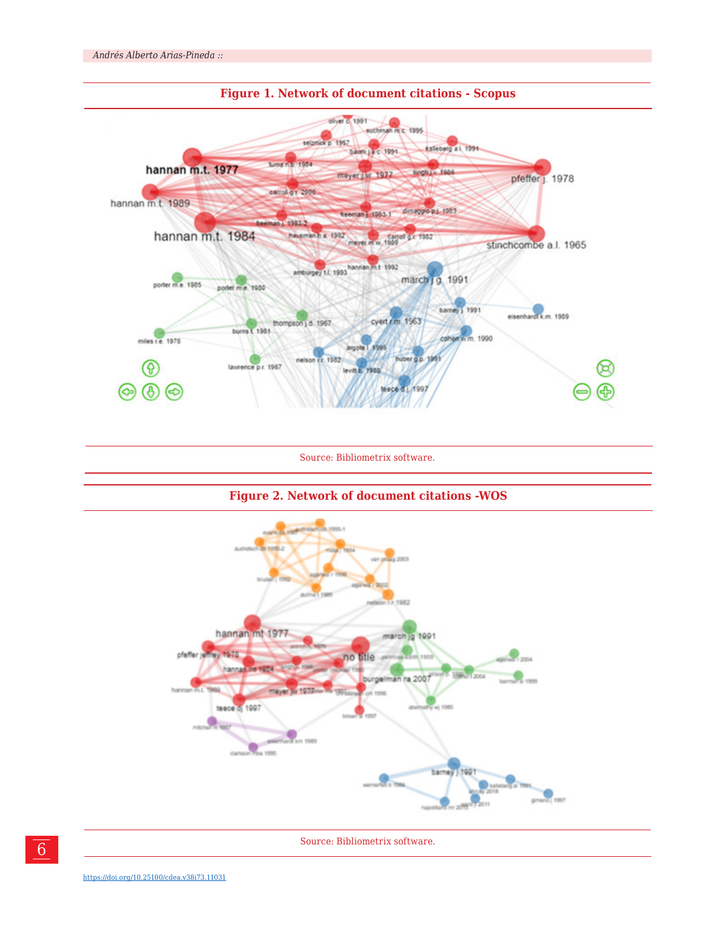

Source: Bibliometrix software.

#### **Figure 2. Network of document citations -WOS**



Source: Bibliometrix software.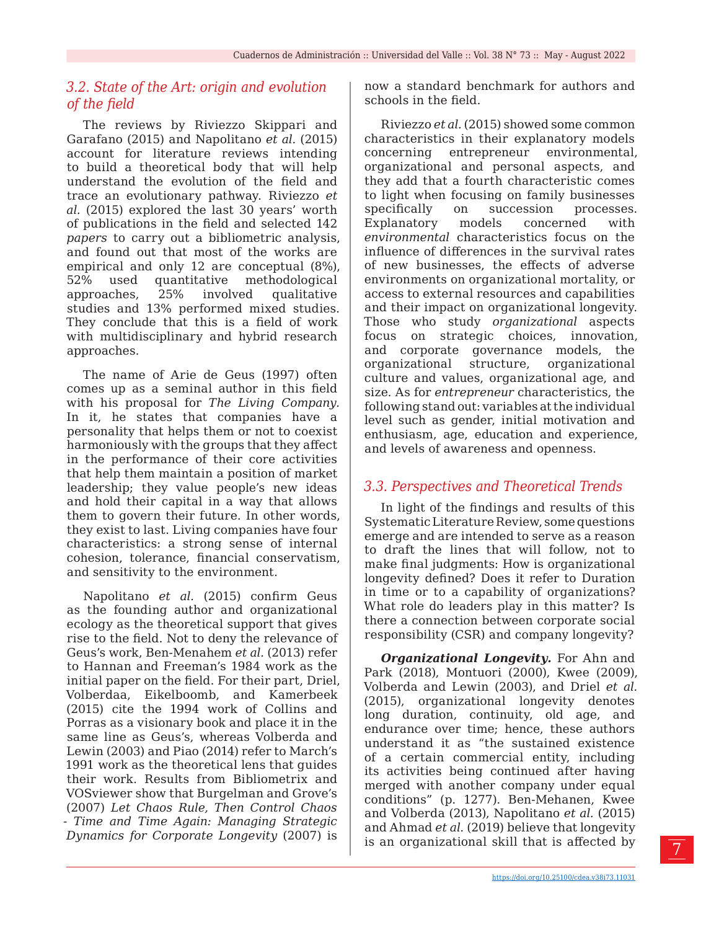#### *3.2. State of the Art: origin and evolution of the field*

The reviews by Riviezzo Skippari and Garafano (2015) and Napolitano *et al.* (2015) account for literature reviews intending to build a theoretical body that will help understand the evolution of the field and trace an evolutionary pathway. Riviezzo *et al.* (2015) explored the last 30 years' worth of publications in the field and selected 142 *papers* to carry out a bibliometric analysis, and found out that most of the works are empirical and only 12 are conceptual (8%), 52% used quantitative methodological approaches, 25% involved qualitative studies and 13% performed mixed studies. They conclude that this is a field of work with multidisciplinary and hybrid research approaches.

The name of Arie de Geus (1997) often comes up as a seminal author in this field with his proposal for *The Living Company.* In it, he states that companies have a personality that helps them or not to coexist harmoniously with the groups that they affect in the performance of their core activities that help them maintain a position of market leadership; they value people's new ideas and hold their capital in a way that allows them to govern their future. In other words, they exist to last. Living companies have four characteristics: a strong sense of internal cohesion, tolerance, financial conservatism, and sensitivity to the environment.

Napolitano *et al.* (2015) confirm Geus as the founding author and organizational ecology as the theoretical support that gives rise to the field. Not to deny the relevance of Geus's work, Ben-Menahem *et al.* (2013) refer to Hannan and Freeman's 1984 work as the initial paper on the field. For their part, Driel, Volberdaa, Eikelboomb, and Kamerbeek (2015) cite the 1994 work of Collins and Porras as a visionary book and place it in the same line as Geus's, whereas Volberda and Lewin (2003) and Piao (2014) refer to March's 1991 work as the theoretical lens that guides their work. Results from Bibliometrix and VOSviewer show that Burgelman and Grove's (2007) *Let Chaos Rule, Then Control Chaos - Time and Time Again: Managing Strategic Dynamics for Corporate Longevity* (2007) is

now a standard benchmark for authors and schools in the field.

Riviezzo *et al.* (2015) showed some common characteristics in their explanatory models concerning entrepreneur environmental, organizational and personal aspects, and they add that a fourth characteristic comes to light when focusing on family businesses specifically on succession processes. Explanatory models concerned with *environmental* characteristics focus on the influence of differences in the survival rates of new businesses, the effects of adverse environments on organizational mortality, or access to external resources and capabilities and their impact on organizational longevity. Those who study *organizational* aspects focus on strategic choices, innovation, and corporate governance models, the organizational structure, organizational culture and values, organizational age, and size. As for *entrepreneur* characteristics, the following stand out: variables at the individual level such as gender, initial motivation and enthusiasm, age, education and experience, and levels of awareness and openness.

### *3.3. Perspectives and Theoretical Trends*

In light of the findings and results of this Systematic Literature Review, some questions emerge and are intended to serve as a reason to draft the lines that will follow, not to make final judgments: How is organizational longevity defined? Does it refer to Duration in time or to a capability of organizations? What role do leaders play in this matter? Is there a connection between corporate social responsibility (CSR) and company longevity?

*Organizational Longevity.* For Ahn and Park (2018), Montuori (2000), Kwee (2009), Volberda and Lewin (2003), and Driel *et al.* (2015), organizational longevity denotes long duration, continuity, old age, and endurance over time; hence, these authors understand it as "the sustained existence of a certain commercial entity, including its activities being continued after having merged with another company under equal conditions" (p. 1277). Ben-Mehanen, Kwee and Volberda (2013), Napolitano *et al.* (2015) and Ahmad *et al.* (2019) believe that longevity is an organizational skill that is affected by

7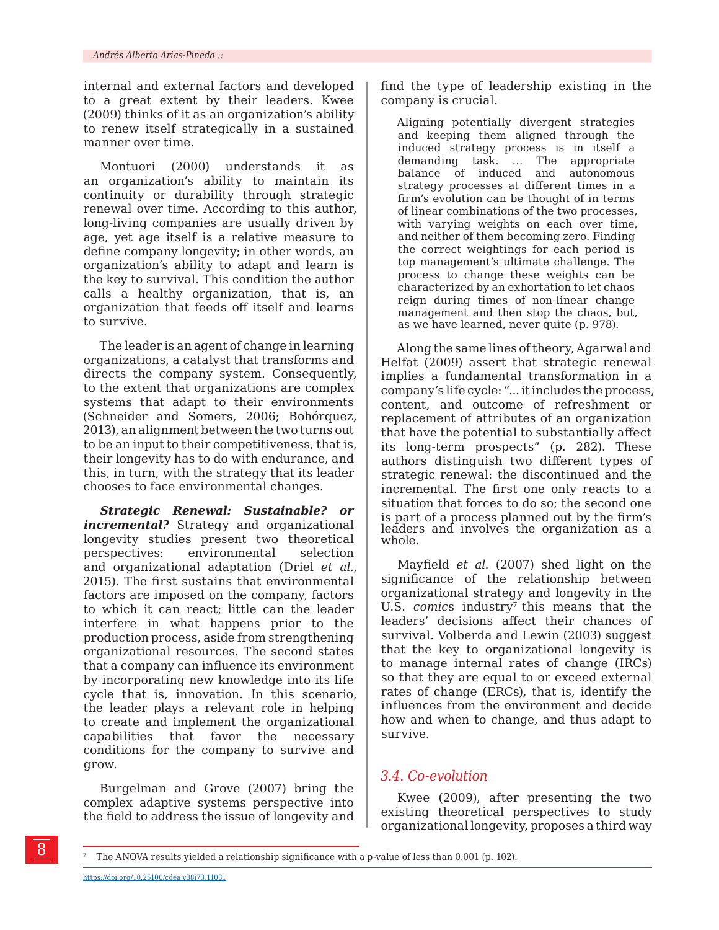internal and external factors and developed to a great extent by their leaders. Kwee (2009) thinks of it as an organization's ability to renew itself strategically in a sustained manner over time.

Montuori (2000) understands it as an organization's ability to maintain its continuity or durability through strategic renewal over time. According to this author, long-living companies are usually driven by age, yet age itself is a relative measure to define company longevity; in other words, an organization's ability to adapt and learn is the key to survival. This condition the author calls a healthy organization, that is, an organization that feeds off itself and learns to survive.

The leader is an agent of change in learning organizations, a catalyst that transforms and directs the company system. Consequently, to the extent that organizations are complex systems that adapt to their environments (Schneider and Somers, 2006; Bohórquez, 2013), an alignment between the two turns out to be an input to their competitiveness, that is, their longevity has to do with endurance, and this, in turn, with the strategy that its leader chooses to face environmental changes.

*Strategic Renewal: Sustainable? or incremental?* Strategy and organizational longevity studies present two theoretical perspectives: environmental selection and organizational adaptation (Driel *et al.,* 2015). The first sustains that environmental factors are imposed on the company, factors to which it can react; little can the leader interfere in what happens prior to the production process, aside from strengthening organizational resources. The second states that a company can influence its environment by incorporating new knowledge into its life cycle that is, innovation. In this scenario, the leader plays a relevant role in helping to create and implement the organizational capabilities that favor the necessary conditions for the company to survive and grow.

Burgelman and Grove (2007) bring the complex adaptive systems perspective into the field to address the issue of longevity and find the type of leadership existing in the company is crucial.

Aligning potentially divergent strategies and keeping them aligned through the induced strategy process is in itself a demanding task. … The appropriate balance of induced and autonomous strategy processes at different times in a firm's evolution can be thought of in terms of linear combinations of the two processes, with varying weights on each over time, and neither of them becoming zero. Finding the correct weightings for each period is top management's ultimate challenge. The process to change these weights can be characterized by an exhortation to let chaos reign during times of non-linear change management and then stop the chaos, but, as we have learned, never quite (p. 978).

Along the same lines of theory, Agarwal and Helfat (2009) assert that strategic renewal implies a fundamental transformation in a company's life cycle: "... it includes the process, content, and outcome of refreshment or replacement of attributes of an organization that have the potential to substantially affect its long-term prospects" (p. 282). These authors distinguish two different types of strategic renewal: the discontinued and the incremental. The first one only reacts to a situation that forces to do so; the second one is part of a process planned out by the firm's leaders and involves the organization as a whole.

Mayfield *et al.* (2007) shed light on the significance of the relationship between organizational strategy and longevity in the U.S. *comics* industry<sup>7</sup> this means that the leaders' decisions affect their chances of survival. Volberda and Lewin (2003) suggest that the key to organizational longevity is to manage internal rates of change (IRCs) so that they are equal to or exceed external rates of change (ERCs), that is, identify the influences from the environment and decide how and when to change, and thus adapt to survive.

### *3.4. Co-evolution*

Kwee (2009), after presenting the two existing theoretical perspectives to study organizational longevity, proposes a third way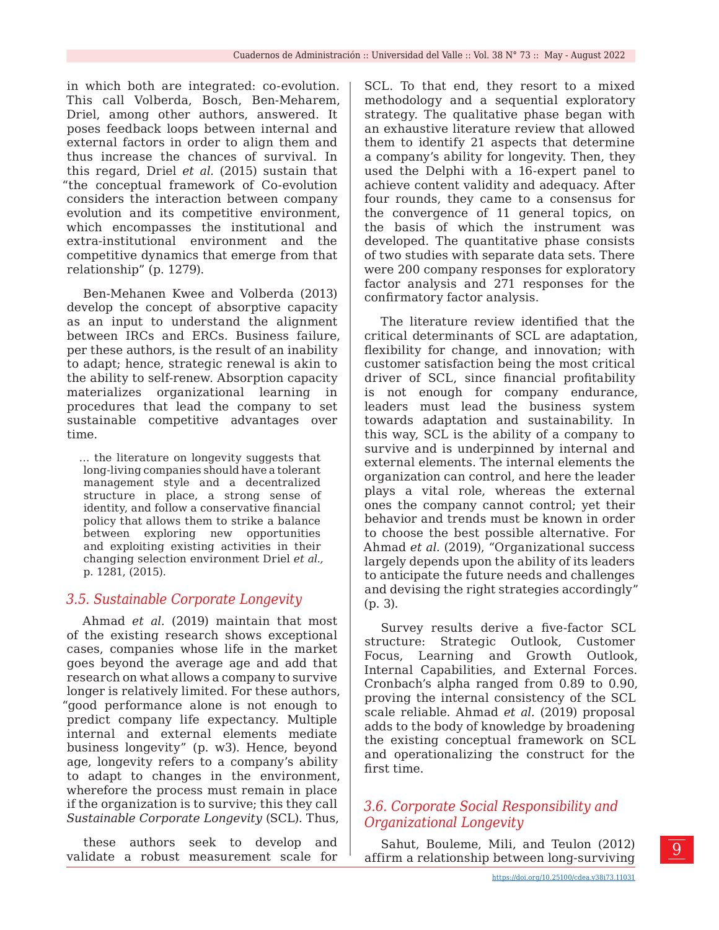in which both are integrated: co-evolution. This call Volberda, Bosch, Ben-Meharem, Driel, among other authors, answered. It poses feedback loops between internal and external factors in order to align them and thus increase the chances of survival. In this regard, Driel *et al.* (2015) sustain that "the conceptual framework of Co-evolution considers the interaction between company evolution and its competitive environment, which encompasses the institutional and extra-institutional environment and the competitive dynamics that emerge from that relationship" (p. 1279).

Ben-Mehanen Kwee and Volberda (2013) develop the concept of absorptive capacity as an input to understand the alignment between IRCs and ERCs. Business failure, per these authors, is the result of an inability to adapt; hence, strategic renewal is akin to the ability to self-renew. Absorption capacity materializes organizational learning in procedures that lead the company to set sustainable competitive advantages over time.

… the literature on longevity suggests that long-living companies should have a tolerant management style and a decentralized structure in place, a strong sense of identity, and follow a conservative financial policy that allows them to strike a balance between exploring new opportunities and exploiting existing activities in their changing selection environment Driel *et al.,* p. 1281, (2015).

## *3.5. Sustainable Corporate Longevity*

Ahmad *et al.* (2019) maintain that most of the existing research shows exceptional cases, companies whose life in the market goes beyond the average age and add that research on what allows a company to survive longer is relatively limited. For these authors, "good performance alone is not enough to predict company life expectancy. Multiple internal and external elements mediate business longevity" (p. w3). Hence, beyond age, longevity refers to a company's ability to adapt to changes in the environment, wherefore the process must remain in place if the organization is to survive; this they call *Sustainable Corporate Longevity* (SCL). Thus,

these authors seek to develop and validate a robust measurement scale for

SCL. To that end, they resort to a mixed methodology and a sequential exploratory strategy. The qualitative phase began with an exhaustive literature review that allowed them to identify 21 aspects that determine a company's ability for longevity. Then, they used the Delphi with a 16-expert panel to achieve content validity and adequacy. After four rounds, they came to a consensus for the convergence of 11 general topics, on the basis of which the instrument was developed. The quantitative phase consists of two studies with separate data sets. There were 200 company responses for exploratory factor analysis and 271 responses for the confirmatory factor analysis.

The literature review identified that the critical determinants of SCL are adaptation, flexibility for change, and innovation; with customer satisfaction being the most critical driver of SCL, since financial profitability is not enough for company endurance, leaders must lead the business system towards adaptation and sustainability. In this way, SCL is the ability of a company to survive and is underpinned by internal and external elements. The internal elements the organization can control, and here the leader plays a vital role, whereas the external ones the company cannot control; yet their behavior and trends must be known in order to choose the best possible alternative. For Ahmad *et al.* (2019), "Organizational success largely depends upon the ability of its leaders to anticipate the future needs and challenges and devising the right strategies accordingly" (p. 3).

Survey results derive a five-factor SCL structure: Strategic Outlook, Customer Focus, Learning and Growth Outlook, Internal Capabilities, and External Forces. Cronbach's alpha ranged from 0.89 to 0.90, proving the internal consistency of the SCL scale reliable. Ahmad *et al.* (2019) proposal adds to the body of knowledge by broadening the existing conceptual framework on SCL and operationalizing the construct for the first time.

### *3.6. Corporate Social Responsibility and Organizational Longevity*

Sahut, Bouleme, Mili, and Teulon (2012) affirm a relationship between long-surviving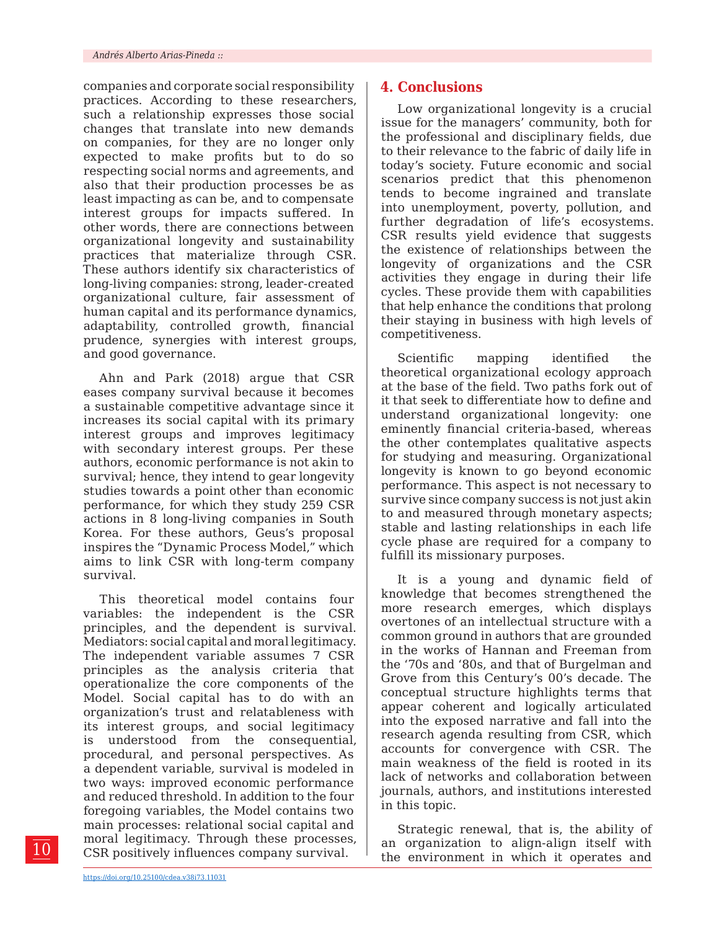companies and corporate social responsibility practices. According to these researchers, such a relationship expresses those social changes that translate into new demands on companies, for they are no longer only expected to make profits but to do so respecting social norms and agreements, and also that their production processes be as least impacting as can be, and to compensate interest groups for impacts suffered. In other words, there are connections between organizational longevity and sustainability practices that materialize through CSR. These authors identify six characteristics of long-living companies: strong, leader-created organizational culture, fair assessment of human capital and its performance dynamics, adaptability, controlled growth, financial prudence, synergies with interest groups, and good governance.

Ahn and Park (2018) argue that CSR eases company survival because it becomes a sustainable competitive advantage since it increases its social capital with its primary interest groups and improves legitimacy with secondary interest groups. Per these authors, economic performance is not akin to survival; hence, they intend to gear longevity studies towards a point other than economic performance, for which they study 259 CSR actions in 8 long-living companies in South Korea. For these authors, Geus's proposal inspires the "Dynamic Process Model," which aims to link CSR with long-term company survival.

This theoretical model contains four variables: the independent is the CSR principles, and the dependent is survival. Mediators: social capital and moral legitimacy. The independent variable assumes 7 CSR principles as the analysis criteria that operationalize the core components of the Model. Social capital has to do with an organization's trust and relatableness with its interest groups, and social legitimacy is understood from the consequential, procedural, and personal perspectives. As a dependent variable, survival is modeled in two ways: improved economic performance and reduced threshold. In addition to the four foregoing variables, the Model contains two main processes: relational social capital and moral legitimacy. Through these processes, CSR positively influences company survival.

#### **4. Conclusions**

Low organizational longevity is a crucial issue for the managers' community, both for the professional and disciplinary fields, due to their relevance to the fabric of daily life in today's society. Future economic and social scenarios predict that this phenomenon tends to become ingrained and translate into unemployment, poverty, pollution, and further degradation of life's ecosystems. CSR results yield evidence that suggests the existence of relationships between the longevity of organizations and the CSR activities they engage in during their life cycles. These provide them with capabilities that help enhance the conditions that prolong their staying in business with high levels of competitiveness.

Scientific mapping identified the theoretical organizational ecology approach at the base of the field. Two paths fork out of it that seek to differentiate how to define and understand organizational longevity: one eminently financial criteria-based, whereas the other contemplates qualitative aspects for studying and measuring. Organizational longevity is known to go beyond economic performance. This aspect is not necessary to survive since company success is not just akin to and measured through monetary aspects; stable and lasting relationships in each life cycle phase are required for a company to fulfill its missionary purposes.

It is a young and dynamic field of knowledge that becomes strengthened the more research emerges, which displays overtones of an intellectual structure with a common ground in authors that are grounded in the works of Hannan and Freeman from the '70s and '80s, and that of Burgelman and Grove from this Century's 00's decade. The conceptual structure highlights terms that appear coherent and logically articulated into the exposed narrative and fall into the research agenda resulting from CSR, which accounts for convergence with CSR. The main weakness of the field is rooted in its lack of networks and collaboration between journals, authors, and institutions interested in this topic.

Strategic renewal, that is, the ability of an organization to align-align itself with the environment in which it operates and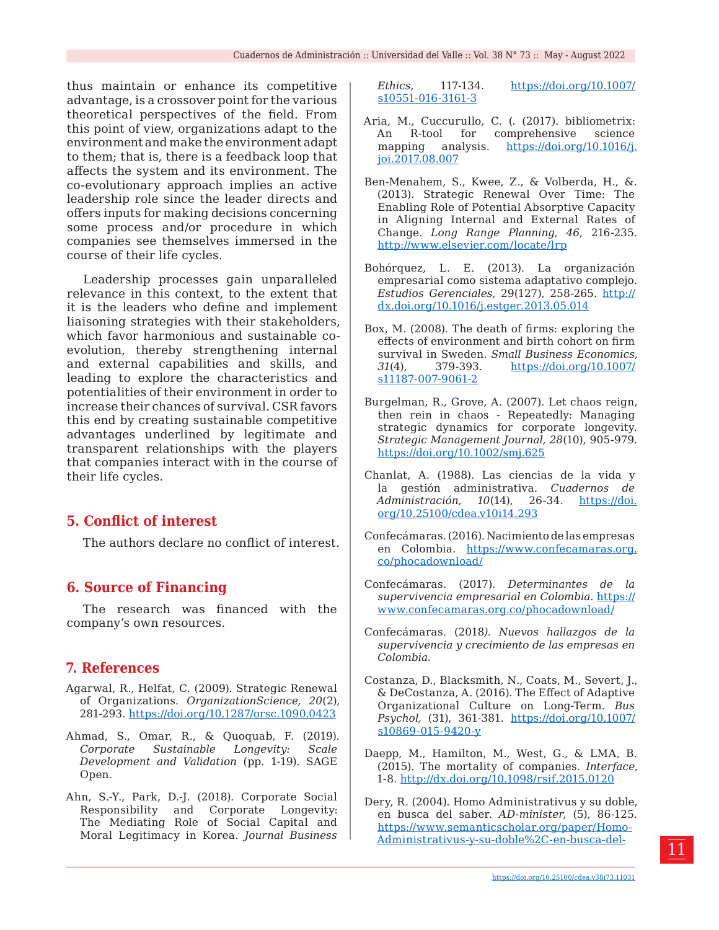thus maintain or enhance its competitive advantage, is a crossover point for the various theoretical perspectives of the field. From this point of view, organizations adapt to the environment and make the environment adapt to them; that is, there is a feedback loop that affects the system and its environment. The co-evolutionary approach implies an active leadership role since the leader directs and offers inputs for making decisions concerning some process and/or procedure in which companies see themselves immersed in the course of their life cycles.

Leadership processes gain unparalleled relevance in this context, to the extent that it is the leaders who define and implement liaisoning strategies with their stakeholders, which favor harmonious and sustainable coevolution, thereby strengthening internal and external capabilities and skills, and leading to explore the characteristics and potentialities of their environment in order to increase their chances of survival. CSR favors this end by creating sustainable competitive advantages underlined by legitimate and transparent relationships with the players that companies interact with in the course of their life cycles.

#### **5. Conflict of interest**

The authors declare no conflict of interest.

#### **6. Source of Financing**

The research was financed with the company's own resources.

#### **7. References**

- Agarwal, R., Helfat, C. (2009). Strategic Renewal of Organizations. *OrganizationScience, 20*(2), 281-293. <https://doi.org/10.1287/orsc.1090.0423>
- Ahmad, S., Omar, R., & Quoquab, F. (2019). *Corporate Sustainable Longevity: Scale Development and Validation* (pp. 1-19)*.* SAGE Open.
- Ahn, S.-Y., Park, D.-J. (2018). Corporate Social Responsibility and Corporate Longevity: The Mediating Role of Social Capital and Moral Legitimacy in Korea. *Journal Business*

*Ethics,* 117-134. https://doi.org/10.1007/ s10551-016-3161-3

- Aria, M., Cuccurullo, C. (. (2017). bibliometrix: An R-tool for comprehensive science mapping analysis. [https://doi.org/10.1016/j.](https://doi.org/10.1016/j.joi.2017.08.007) [joi.2017.08.007](https://doi.org/10.1016/j.joi.2017.08.007)
- Ben-Menahem, S., Kwee, Z., & Volberda, H., &. (2013). Strategic Renewal Over Time: The Enabling Role of Potential Absorptive Capacity in Aligning Internal and External Rates of Change. *Long Range Planning, 46*, 216-235. <http://www.elsevier.com/locate/lrp>
- Bohórquez, L. E. (2013). La organización empresarial como sistema adaptativo complejo. *Estudios Gerenciales,* 29(127), 258-265. http:// dx.doi.org/10.1016/j.estger.2013.05.014
- Box, M. (2008). The death of firms: exploring the effects of environment and birth cohort on firm survival in Sweden. *Small Business Economics, 31*(4), 379-393. [https://doi.org/10.1007/](https://doi.org/10.1007/s11187-007-9061-2) [s11187-007-9061-2](https://doi.org/10.1007/s11187-007-9061-2)
- Burgelman, R., Grove, A. (2007). Let chaos reign, then rein in chaos - Repeatedly: Managing strategic dynamics for corporate longevity. *Strategic Management Journal, 28*(10), 905-979. [https://doi.org/10.1002/smj.625](https://econpapers.repec.org/scripts/redir.pf?u=https%3A%2F%2Fdoi.org%2F10.1002%2Fsmj.625;h=repec:bla:stratm:v:28:y:2007:i:10:p:965-979)
- Chanlat, A. (1988). Las ciencias de la vida y la gestión administrativa. *Cuadernos de Administración, 10*(14), 26-34. [https://doi.](https://cuadernosdeadministracion.univalle.edu.co/index.php/cuadernos_de_administracion/article/view/293) [org/10.25100/cdea.v10i14.293](https://cuadernosdeadministracion.univalle.edu.co/index.php/cuadernos_de_administracion/article/view/293)
- Confecámaras. (2016). Nacimiento de las empresas en Colombia. [https://www.confecamaras.org.](https://www.confecamaras.org.co/phocadownload/Cuadernos_de_analisis_economico/Cuaderno_de_An%D0%B0lisis_Economico_N_11.pdf
) [co/phocadownload/](https://www.confecamaras.org.co/phocadownload/Cuadernos_de_analisis_economico/Cuaderno_de_An%D0%B0lisis_Economico_N_11.pdf
)
- Confecámaras. (2017). *Determinantes de la supervivencia empresarial en Colombia.* https:// [www.confecamaras.org.co/phocadownload/](https://www.confecamaras.org.co/phocadownload/Cuadernos_de_analisis_economico/Cuaderno_de_An%D0%B0lisis_Economico_N_14.pdf
)
- Confecámaras. (2018*). Nuevos hallazgos de la supervivencia y crecimiento de las empresas en Colombia.*
- Costanza, D., Blacksmith, N., Coats, M., Severt, J., & DeCostanza, A. (2016). The Effect of Adaptive Organizational Culture on Long-Term. *Bus Psychol,* (31), 361-381. [https://doi.org/10.1007/](https://doi.org/10.1007/s10869-015-9420-y) [s10869-015-9420-y](https://doi.org/10.1007/s10869-015-9420-y)
- Daepp, M., Hamilton, M., West, G., & LMA, B. (2015). The mortality of companies. *Interface,* 1-8. http://dx.doi.org/10.1098/rsif.2015.0120
- Dery, R. (2004). Homo Administrativus y su doble, en busca del saber. *AD-minister,* (5), 86-125. https://www.semanticscholar.org/paper/Homo-Administrativus-y-su-doble%2C-en-busca-del-